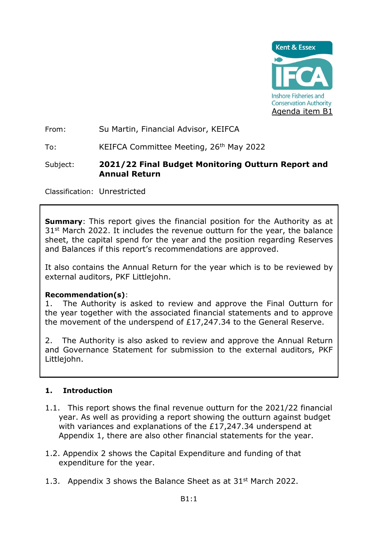

From: Su Martin, Financial Advisor, KEIFCA

To:KEIFCA Committee Meeting, 26th May 2022

### Subject: **2021/22 Final Budget Monitoring Outturn Report and Annual Return**

Classification: Unrestricted

**Summary:** This report gives the financial position for the Authority as at 31<sup>st</sup> March 2022. It includes the revenue outturn for the year, the balance sheet, the capital spend for the year and the position regarding Reserves and Balances if this report's recommendations are approved.

It also contains the Annual Return for the year which is to be reviewed by external auditors, PKF Littlejohn.

### **Recommendation(s)**:

1. The Authority is asked to review and approve the Final Outturn for the year together with the associated financial statements and to approve the movement of the underspend of £17,247.34 to the General Reserve.

2. The Authority is also asked to review and approve the Annual Return and Governance Statement for submission to the external auditors, PKF Littlejohn.

### **1. Introduction**

- 1.1. This report shows the final revenue outturn for the 2021/22 financial year. As well as providing a report showing the outturn against budget with variances and explanations of the £17,247.34 underspend at Appendix 1, there are also other financial statements for the year.
- 1.2. Appendix 2 shows the Capital Expenditure and funding of that expenditure for the year.
- 1.3. Appendix 3 shows the Balance Sheet as at  $31<sup>st</sup>$  March 2022.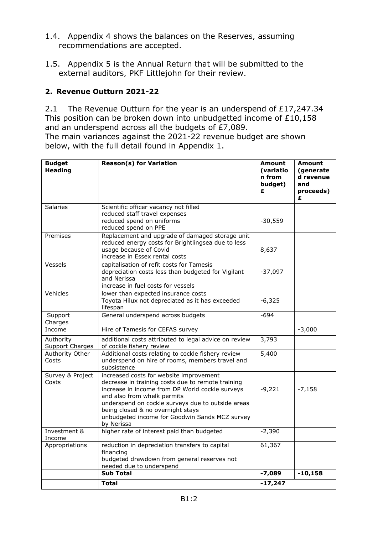- 1.4. Appendix 4 shows the balances on the Reserves, assuming recommendations are accepted.
- 1.5. Appendix 5 is the Annual Return that will be submitted to the external auditors, PKF Littlejohn for their review.

# **2. Revenue Outturn 2021-22**

2.1 The Revenue Outturn for the year is an underspend of £17,247.34 This position can be broken down into unbudgetted income of £10,158 and an underspend across all the budgets of £7,089.

The main variances against the 2021-22 revenue budget are shown below, with the full detail found in Appendix 1.

| <b>Budget</b><br><b>Heading</b> | <b>Reason(s) for Variation</b>                                                                                                                                                                                                                                                                                                           | <b>Amount</b><br>(variatio<br>n from<br>budget)<br>£ | <b>Amount</b><br>(generate)<br>d revenue<br>and<br>proceeds)<br>£ |
|---------------------------------|------------------------------------------------------------------------------------------------------------------------------------------------------------------------------------------------------------------------------------------------------------------------------------------------------------------------------------------|------------------------------------------------------|-------------------------------------------------------------------|
| <b>Salaries</b>                 | Scientific officer vacancy not filled<br>reduced staff travel expenses<br>reduced spend on uniforms<br>reduced spend on PPE                                                                                                                                                                                                              | $-30,559$                                            |                                                                   |
| Premises                        | Replacement and upgrade of damaged storage unit<br>reduced energy costs for Brightlingsea due to less<br>usage because of Covid<br>increase in Essex rental costs                                                                                                                                                                        | 8,637                                                |                                                                   |
| Vessels                         | capitalisation of refit costs for Tamesis<br>depreciation costs less than budgeted for Vigilant<br>and Nerissa<br>increase in fuel costs for vessels                                                                                                                                                                                     | $-37,097$                                            |                                                                   |
| Vehicles                        | lower than expected insurance costs<br>Toyota Hilux not depreciated as it has exceeded<br>lifespan                                                                                                                                                                                                                                       | $-6,325$                                             |                                                                   |
| Support<br>Charges              | General underspend across budgets                                                                                                                                                                                                                                                                                                        | $-694$                                               |                                                                   |
| Income                          | Hire of Tamesis for CEFAS survey                                                                                                                                                                                                                                                                                                         |                                                      | $-3,000$                                                          |
| Authority<br>Support Charges    | additional costs attributed to legal advice on review<br>of cockle fishery review                                                                                                                                                                                                                                                        | 3,793                                                |                                                                   |
| Authority Other<br>Costs        | Additional costs relating to cockle fishery review<br>underspend on hire of rooms, members travel and<br>subsistence                                                                                                                                                                                                                     | 5,400                                                |                                                                   |
| Survey & Project<br>Costs       | increased costs for website improvement<br>decrease in training costs due to remote training<br>increase in income from DP World cockle surveys<br>and also from whelk permits<br>underspend on cockle surveys due to outside areas<br>being closed & no overnight stays<br>unbudgeted income for Goodwin Sands MCZ survey<br>by Nerissa | $-9,221$                                             | $-7,158$                                                          |
| Investment &<br>Income          | higher rate of interest paid than budgeted                                                                                                                                                                                                                                                                                               | $-2,390$                                             |                                                                   |
| Appropriations                  | reduction in depreciation transfers to capital<br>financing<br>budgeted drawdown from general reserves not<br>needed due to underspend                                                                                                                                                                                                   | 61,367                                               |                                                                   |
|                                 | <b>Sub Total</b>                                                                                                                                                                                                                                                                                                                         | $-7,089$                                             | $-10,158$                                                         |
|                                 | <b>Total</b>                                                                                                                                                                                                                                                                                                                             | $-17,247$                                            |                                                                   |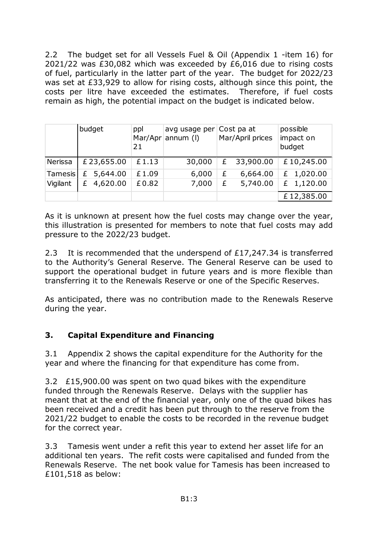2.2 The budget set for all Vessels Fuel & Oil (Appendix 1 -item 16) for 2021/22 was £30,082 which was exceeded by £6,016 due to rising costs of fuel, particularly in the latter part of the year. The budget for 2022/23 was set at £33,929 to allow for rising costs, although since this point, the costs per litre have exceeded the estimates. Therefore, if fuel costs remain as high, the potential impact on the budget is indicated below.

|                | budget        | ppl<br>21 | avg usage per Cost pa at<br>Mar/Apr annum $(1)$ |   | Mar/April prices | possible<br>impact on<br>budget |
|----------------|---------------|-----------|-------------------------------------------------|---|------------------|---------------------------------|
| Nerissa        | £23,655.00    | £1.13     | 30,000                                          | £ | 33,900.00        | £10,245.00                      |
| <b>Tamesis</b> | £ 5,644.00    | £1.09     | 6,000                                           | £ | 6,664.00         | £ $1,020.00$                    |
| Vigilant       | 4,620.00<br>£ | £0.82     | 7,000                                           | £ | 5,740.00         | £ 1,120.00                      |
|                |               |           |                                                 |   |                  | £12,385.00                      |

As it is unknown at present how the fuel costs may change over the year, this illustration is presented for members to note that fuel costs may add pressure to the 2022/23 budget.

2.3 It is recommended that the underspend of £17,247.34 is transferred to the Authority's General Reserve. The General Reserve can be used to support the operational budget in future years and is more flexible than transferring it to the Renewals Reserve or one of the Specific Reserves.

As anticipated, there was no contribution made to the Renewals Reserve during the year.

# **3. Capital Expenditure and Financing**

3.1 Appendix 2 shows the capital expenditure for the Authority for the year and where the financing for that expenditure has come from.

3.2 £15,900.00 was spent on two quad bikes with the expenditure funded through the Renewals Reserve. Delays with the supplier has meant that at the end of the financial year, only one of the quad bikes has been received and a credit has been put through to the reserve from the 2021/22 budget to enable the costs to be recorded in the revenue budget for the correct year.

3.3 Tamesis went under a refit this year to extend her asset life for an additional ten years. The refit costs were capitalised and funded from the Renewals Reserve. The net book value for Tamesis has been increased to £101,518 as below: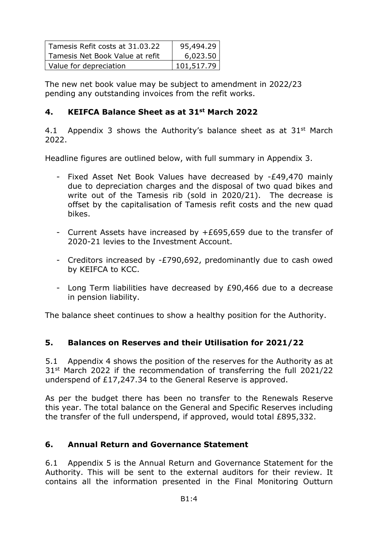| Tamesis Refit costs at 31.03.22 | 95,494.29  |  |  |
|---------------------------------|------------|--|--|
| Tamesis Net Book Value at refit | 6,023.50   |  |  |
| Value for depreciation          | 101,517.79 |  |  |

The new net book value may be subject to amendment in 2022/23 pending any outstanding invoices from the refit works.

# **4. KEIFCA Balance Sheet as at 31st March 2022**

4.1 Appendix 3 shows the Authority's balance sheet as at  $31<sup>st</sup>$  March 2022.

Headline figures are outlined below, with full summary in Appendix 3.

- Fixed Asset Net Book Values have decreased by -£49,470 mainly due to depreciation charges and the disposal of two quad bikes and write out of the Tamesis rib (sold in 2020/21). The decrease is offset by the capitalisation of Tamesis refit costs and the new quad bikes.
- Current Assets have increased by +£695,659 due to the transfer of 2020-21 levies to the Investment Account.
- Creditors increased by -£790,692, predominantly due to cash owed by KEIFCA to KCC.
- Long Term liabilities have decreased by £90,466 due to a decrease in pension liability.

The balance sheet continues to show a healthy position for the Authority.

# **5. Balances on Reserves and their Utilisation for 2021/22**

5.1 Appendix 4 shows the position of the reserves for the Authority as at 31<sup>st</sup> March 2022 if the recommendation of transferring the full 2021/22 underspend of £17,247.34 to the General Reserve is approved.

As per the budget there has been no transfer to the Renewals Reserve this year. The total balance on the General and Specific Reserves including the transfer of the full underspend, if approved, would total £895,332.

# **6. Annual Return and Governance Statement**

6.1 Appendix 5 is the Annual Return and Governance Statement for the Authority. This will be sent to the external auditors for their review. It contains all the information presented in the Final Monitoring Outturn